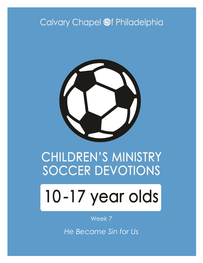# Calvary Chapel @f Philadelphia



# CHILDREN'S MINISTRY **SOCCER DEVOTIONS**

# 10-17 year olds

#### Week 7

*He Became Sin for Us*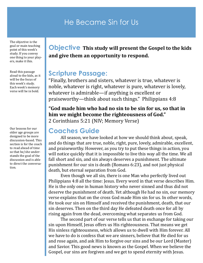# He Became Sin for Us

The objective is the goal or main teaching point of this week's study. If you convey one thing to your players, make it this.

Read this passage aloud to the kids, as it will be the focus of this week's study. Each week's memory verse will be in bold.

Our lessons for our older age groups are designed to be more discussion-based. This section is for the coach to read ahead of time so that he/she understands the goal of the discussion and is able to direct the conversation.

#### **Objective This study will present the Gospel to the kids and give them an opportunity to respond.**

#### **Scripture Passage:**

"Finally, brothers and sisters, whatever is true, whatever is noble, whatever is right, whatever is pure, whatever is lovely, whatever is admirable—if anything is excellent or praiseworthy—think about such things." Philippians 4:8

#### **"God made him who had no sin to be sin for us, so that in him we might become the righteousness of God."**

2 Corinthians 5:21 (NIV; Memory Verse)

#### **Coaches Guide**

All season, we have looked at how we should think about, speak, and do things that are true, noble, right, pure, lovely, admirable, excellent, and praiseworthy. However, as you try to put these things in action, you will notice quickly that it is impossible to live this way all the time. We all fall short and sin, and sin always deserves a punishment. The ultimate punishment for our sin is death (Romans 6:23), and not just physical death, but eternal separation from God.

Even though we all sin, there is one Man who perfectly lived out Philippians 4:8 all the time: Jesus. Every word in that verse describes Him. He is the only one in human history who never sinned and thus did not deserve the punishment of death. Yet although He had no sin, our memory verse explains that on the cross God made Him sin for us. In other words, He took our sin on Himself and received the punishment, death, that our sin deserves. Then on the third day He defeated death once for all by rising again from the dead, overcoming what separates us from God.

The second part of our verse tells us that in exchange for taking our sin upon Himself, Jesus offers us His righteousness. That means we get His sinless righteousness, which allows us to dwell with Him forever. All we have to do is confess that we are sinners, believe that He died for us and rose again, and ask Him to forgive our sins and be our Lord (Master) and Savior. This good news is known as the Gospel. When we believe the Gospel, our sins are forgiven and we get to spend eternity with Jesus.